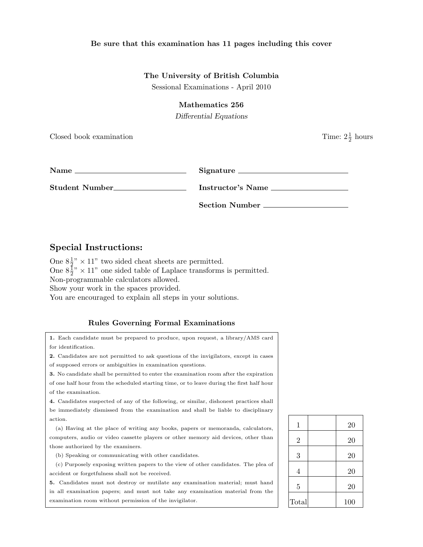### Be sure that this examination has 11 pages including this cover

### The University of British Columbia

Sessional Examinations - April 2010

### Mathematics 256

Differential Equations

Closed book examination

 $\frac{1}{2}$  hours

| <b>Name</b>    | Signature             |
|----------------|-----------------------|
| Student Number | Instructor's Name     |
|                | <b>Section Number</b> |

# Special Instructions:

One  $8\frac{1}{2}$ " × 11" two sided cheat sheets are permitted. One  $8\frac{1}{2}$ <sup>"</sup> × 11" one sided table of Laplace transforms is permitted. Non-programmable calculators allowed. Show your work in the spaces provided.

You are encouraged to explain all steps in your solutions.

## Rules Governing Formal Examinations

1. Each candidate must be prepared to produce, upon request, a library/AMS card for identification.

2. Candidates are not permitted to ask questions of the invigilators, except in cases of supposed errors or ambiguities in examination questions.

3. No candidate shall be permitted to enter the examination room after the expiration of one half hour from the scheduled starting time, or to leave during the first half hour of the examination.

4. Candidates suspected of any of the following, or similar, dishonest practices shall be immediately dismissed from the examination and shall be liable to disciplinary action.

(a) Having at the place of writing any books, papers or memoranda, calculators, computers, audio or video cassette players or other memory aid devices, other than those authorized by the examiners.

(b) Speaking or communicating with other candidates.

(c) Purposely exposing written papers to the view of other candidates. The plea of accident or forgetfulness shall not be received.

5. Candidates must not destroy or mutilate any examination material; must hand in all examination papers; and must not take any examination material from the examination room without permission of the invigilator.

| $\mathbf 1$    | 20  |
|----------------|-----|
| $\overline{2}$ | 20  |
| 3              | 20  |
| $\overline{4}$ | 20  |
| $\overline{5}$ | 20  |
| Total          | 100 |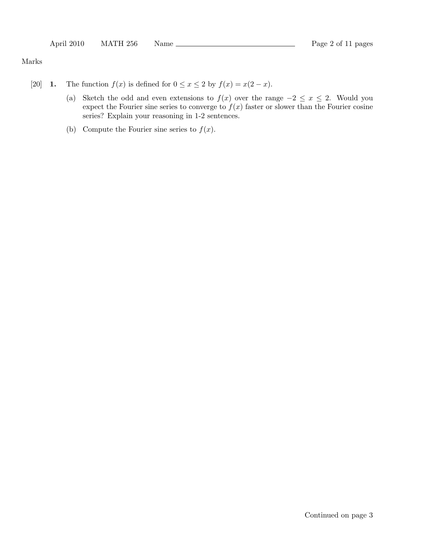Marks

- [20] **1.** The function  $f(x)$  is defined for  $0 \le x \le 2$  by  $f(x) = x(2-x)$ .
	- (a) Sketch the odd and even extensions to  $f(x)$  over the range  $-2 \le x \le 2$ . Would you expect the Fourier sine series to converge to  $f(x)$  faster or slower than the Fourier cosine series? Explain your reasoning in 1-2 sentences.
	- (b) Compute the Fourier sine series to  $f(x)$ .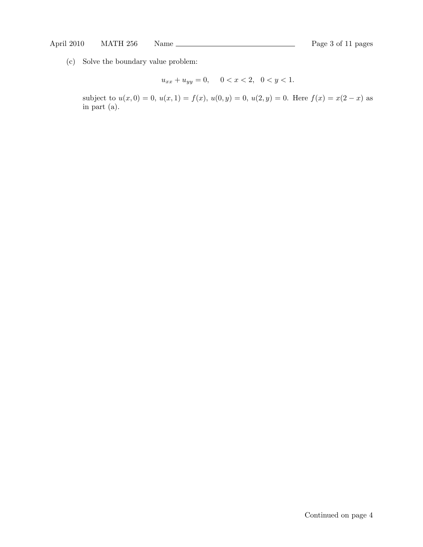(c) Solve the boundary value problem:

$$
u_{xx} + u_{yy} = 0, \quad 0 < x < 2, \quad 0 < y < 1.
$$

subject to  $u(x, 0) = 0$ ,  $u(x, 1) = f(x)$ ,  $u(0, y) = 0$ ,  $u(2, y) = 0$ . Here  $f(x) = x(2 - x)$  as in part (a).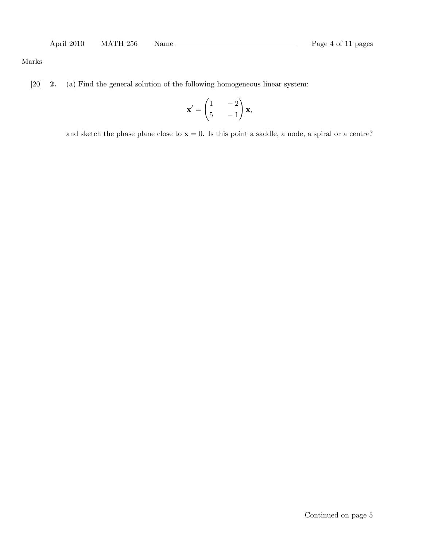## Marks

[20] 2. (a) Find the general solution of the following homogeneous linear system:

$$
\mathbf{x}' = \begin{pmatrix} 1 & -2 \\ 5 & -1 \end{pmatrix} \mathbf{x},
$$

and sketch the phase plane close to  $x = 0$ . Is this point a saddle, a node, a spiral or a centre?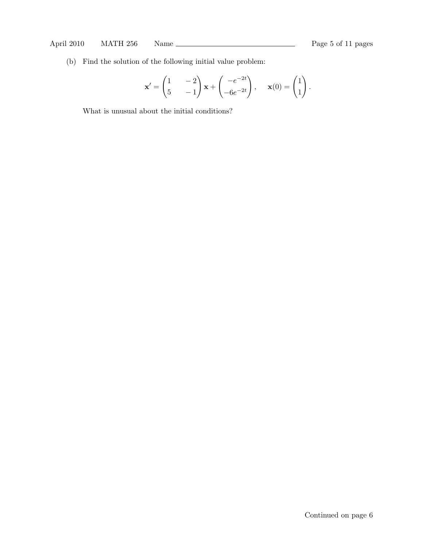(b) Find the solution of the following initial value problem:

$$
\mathbf{x}' = \begin{pmatrix} 1 & -2 \\ 5 & -1 \end{pmatrix} \mathbf{x} + \begin{pmatrix} -e^{-2t} \\ -6e^{-2t} \end{pmatrix}, \quad \mathbf{x}(0) = \begin{pmatrix} 1 \\ 1 \end{pmatrix}.
$$

What is unusual about the initial conditions?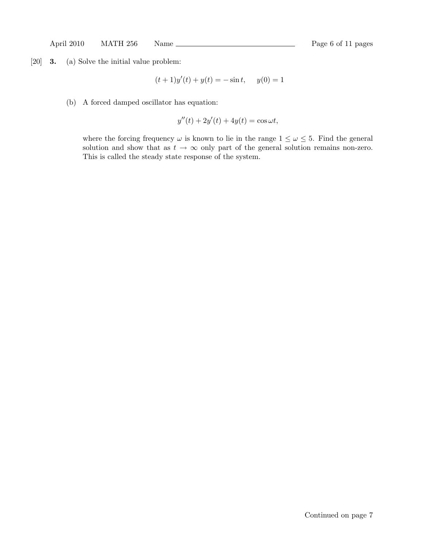[20] 3. (a) Solve the initial value problem:

$$
(t+1)y'(t) + y(t) = -\sin t, \quad y(0) = 1
$$

(b) A forced damped oscillator has equation:

$$
y''(t) + 2y'(t) + 4y(t) = \cos \omega t,
$$

where the forcing frequency  $\omega$  is known to lie in the range  $1 \leq \omega \leq 5$ . Find the general solution and show that as  $t \to \infty$  only part of the general solution remains non-zero. This is called the steady state response of the system.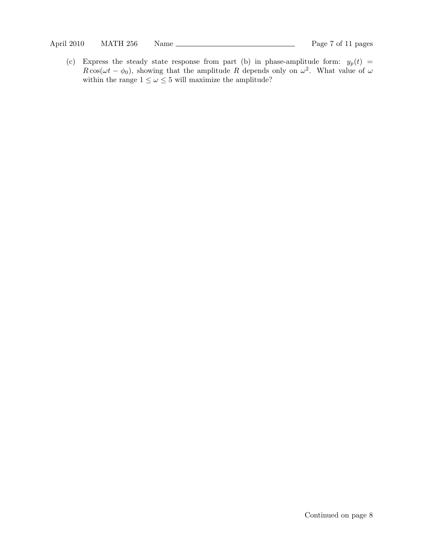(c) Express the steady state response from part (b) in phase-amplitude form:  $y_p(t)$  =  $R\cos(\omega t - \phi_0)$ , showing that the amplitude R depends only on  $\omega^2$ . What value of  $\omega$ within the range  $1 \leq \omega \leq 5$  will maximize the amplitude?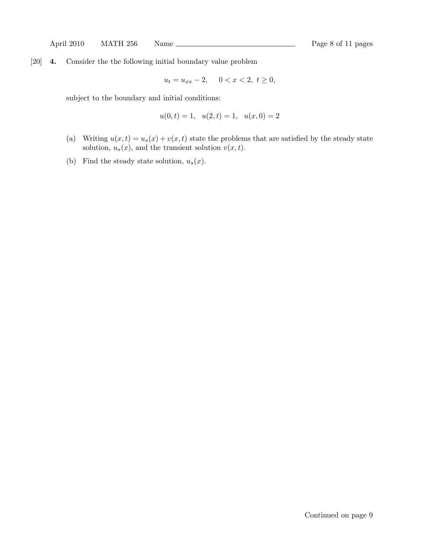[20] 4. Consider the the following initial boundary value problem

$$
u_t = u_{xx} - 2, \quad 0 < x < 2, \ t \ge 0,
$$

subject to the boundary and initial conditions:

$$
u(0,t) = 1, \quad u(2,t) = 1, \quad u(x,0) = 2
$$

- (a) Writing  $u(x, t) = u_s(x) + v(x, t)$  state the problems that are satisfied by the steady state solution,  $u_s(x)$ , and the transient solution  $v(x, t)$ .
- (b) Find the steady state solution,  $u_s(x)$ .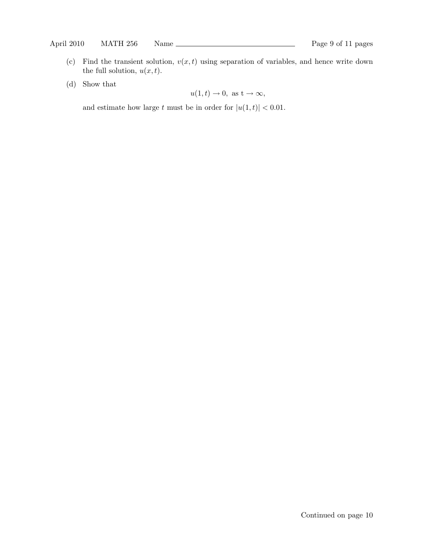- (c) Find the transient solution,  $v(x, t)$  using separation of variables, and hence write down the full solution,  $u(x, t)$ .
- (d) Show that

$$
u(1,t) \to 0
$$
, as  $t \to \infty$ ,

and estimate how large t must be in order for  $|u(1,t)| < 0.01$ .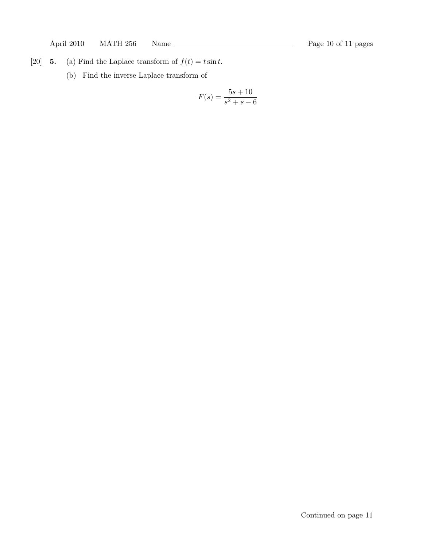- [20] 5. (a) Find the Laplace transform of  $f(t) = t \sin t$ .
	- (b) Find the inverse Laplace transform of

$$
F(s) = \frac{5s + 10}{s^2 + s - 6}
$$